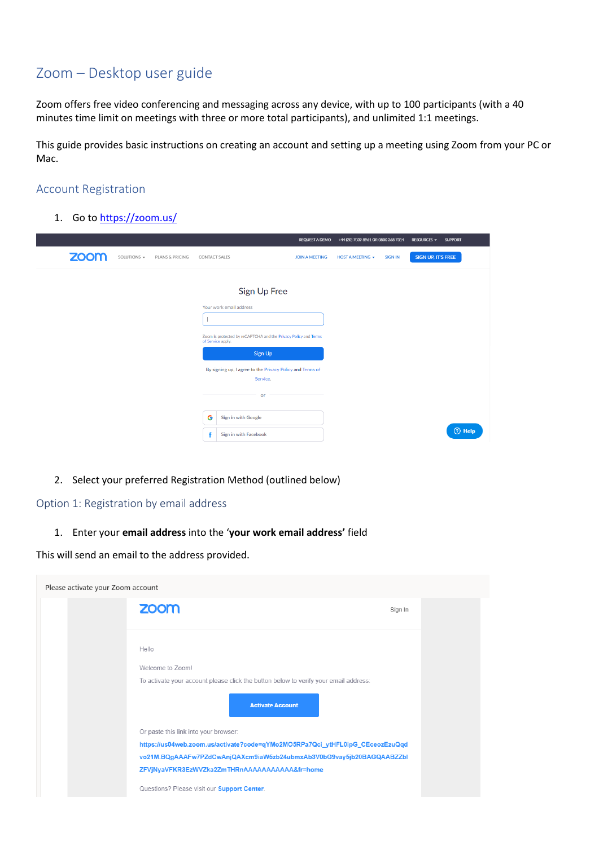# Zoom – Desktop user guide

Zoom offers free video conferencing and messaging across any device, with up to 100 participants (with a 40 minutes time limit on meetings with three or more total participants), and unlimited 1:1 meetings.

This guide provides basic instructions on creating an account and setting up a meeting using Zoom from your PC or Mac.

### Account Registration

1. Go to<https://zoom.us/>

|                                                    |                                                                                      | <b>REQUEST A DEMO</b> | +44 (20) 7039 8961 OR 0800 368 7314       | RESOURCES -<br><b>SUPPORT</b> |
|----------------------------------------------------|--------------------------------------------------------------------------------------|-----------------------|-------------------------------------------|-------------------------------|
| <b>ZOOM</b><br>SOLUTIONS $\sim$<br>PLANS & PRICING | <b>CONTACT SALES</b>                                                                 | <b>JOIN A MEETING</b> | <b>HOST A MEETING +</b><br><b>SIGN IN</b> | SIGN UP, IT'S FREE            |
|                                                    |                                                                                      |                       |                                           |                               |
|                                                    | Sign Up Free                                                                         |                       |                                           |                               |
|                                                    | Your work email address                                                              |                       |                                           |                               |
|                                                    |                                                                                      |                       |                                           |                               |
|                                                    | Zoom is protected by reCAPTCHA and the Privacy Policy and Terms<br>of Service apply. |                       |                                           |                               |
|                                                    | Sign Up                                                                              |                       |                                           |                               |
|                                                    | By signing up, I agree to the Privacy Policy and Terms of                            |                       |                                           |                               |
|                                                    | Service.                                                                             |                       |                                           |                               |
|                                                    | or                                                                                   |                       |                                           |                               |
|                                                    | G<br><b>Sign in with Google</b>                                                      |                       |                                           |                               |
|                                                    | Sign in with Facebook                                                                |                       |                                           | $③$ Help                      |

2. Select your preferred Registration Method (outlined below)

#### Option 1: Registration by email address

1. Enter your **email address** into the '**your work email address'** field

This will send an email to the address provided.

| Please activate your Zoom account |                                                                                                                                                                                                                                                                                                                          |         |  |  |  |  |  |
|-----------------------------------|--------------------------------------------------------------------------------------------------------------------------------------------------------------------------------------------------------------------------------------------------------------------------------------------------------------------------|---------|--|--|--|--|--|
|                                   | zoom                                                                                                                                                                                                                                                                                                                     | Sign In |  |  |  |  |  |
|                                   | Hello<br>Welcome to Zoom!<br>To activate your account please click the button below to verify your email address:                                                                                                                                                                                                        |         |  |  |  |  |  |
|                                   | <b>Activate Account</b><br>Or paste this link into your browser:<br>https://us04web.zoom.us/activate?code=qYMo2MO5RPa7Qci_ytHFL0ipG_CEceozEzuQqd<br>vo21M.BQgAAAFw7PZdCwAnjQAXcm9iaW5zb24ubmxAb3V0bG9vay5jb20BAGQAABZZbl<br>ZFVjNyaVFKR3EzWVZka2ZmTHRnAAAAAAAAAAA&fr=home<br>Questions? Please visit our Support Center. |         |  |  |  |  |  |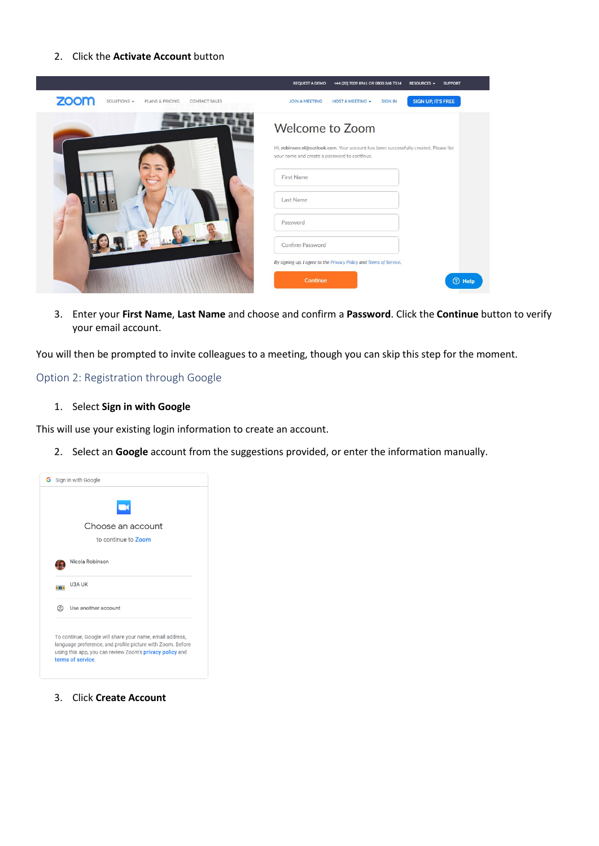#### 2. Click the **Activate Account** button



3. Enter your **First Name**, **Last Name** and choose and confirm a **Password**. Click the **Continue** button to verify your email account.

You will then be prompted to invite colleagues to a meeting, though you can skip this step for the moment.

#### Option 2: Registration through Google

1. Select **Sign in with Google**

This will use your existing login information to create an account.

2. Select an **Google** account from the suggestions provided, or enter the information manually.

|       | −<br>Choose an account                                                                                                                                                                                  |
|-------|---------------------------------------------------------------------------------------------------------------------------------------------------------------------------------------------------------|
|       |                                                                                                                                                                                                         |
|       | to continue to Zoom                                                                                                                                                                                     |
|       | Nicola Robinson                                                                                                                                                                                         |
| LIBLA | U3A UK                                                                                                                                                                                                  |
| ©     | Use another account                                                                                                                                                                                     |
|       | To continue, Google will share your name, email address,<br>language preference, and profile picture with Zoom. Before<br>using this app, you can review Zoom's privacy policy and<br>terms of service. |

3. Click **Create Account**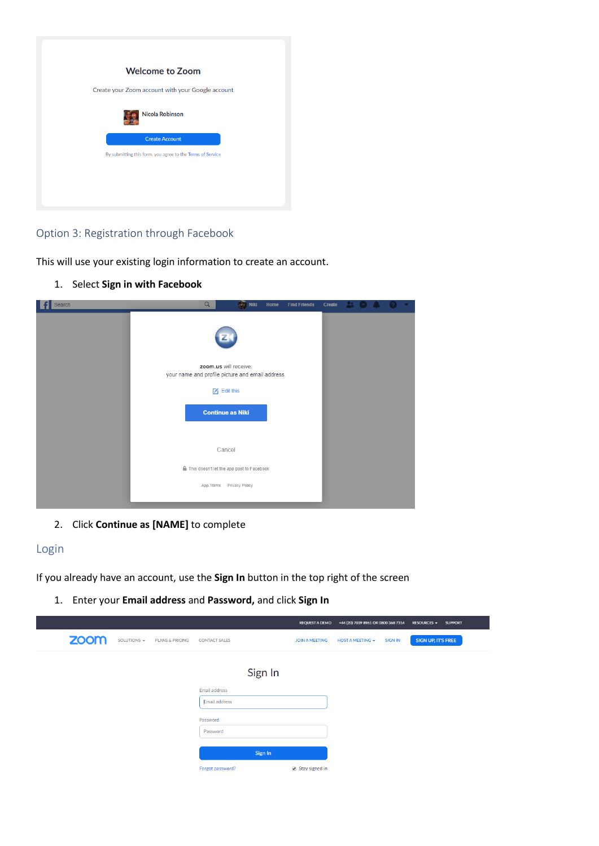| <b>Welcome to Zoom</b>                                     |
|------------------------------------------------------------|
|                                                            |
| Create your Zoom account with your Google account          |
| <b>Nicola Robinson</b>                                     |
| <b>Create Account</b>                                      |
| By submitting this form, you agree to the Terms of Service |
|                                                            |
|                                                            |
|                                                            |

## Option 3: Registration through Facebook

This will use your existing login information to create an account.

1. Select **Sign in with Facebook**

| Search | $\alpha$                                                                  | <b>Niki</b> | Home | <b>Find Friends</b> | Create |  |  |  |
|--------|---------------------------------------------------------------------------|-------------|------|---------------------|--------|--|--|--|
|        |                                                                           |             |      |                     |        |  |  |  |
|        | zoom.us will receive:<br>your name and profile picture and email address. |             |      |                     |        |  |  |  |
|        |                                                                           |             |      |                     |        |  |  |  |
|        | $\boxtimes$ Edit this                                                     |             |      |                     |        |  |  |  |
|        | <b>Continue as Niki</b>                                                   |             |      |                     |        |  |  |  |
|        |                                                                           |             |      |                     |        |  |  |  |
|        |                                                                           |             |      |                     |        |  |  |  |
|        | Cancel                                                                    |             |      |                     |        |  |  |  |
|        | This doesn't let the app post to Facebook                                 |             |      |                     |        |  |  |  |
|        | App Terms · Privacy Policy                                                |             |      |                     |        |  |  |  |
|        |                                                                           |             |      |                     |        |  |  |  |

2. Click **Continue as [NAME]** to complete

# Login

If you already have an account, use the **Sign In** button in the top right of the screen

1. Enter your **Email address** and **Password,** and click **Sign In**

|      |                   |                 |                      |         | <b>REQUEST A DEMO</b> | +44 (20) 7039 8961 OR 0800 368 7314 |                | RESOURCES $\blacktriangledown$ | <b>SUPPORT</b> |
|------|-------------------|-----------------|----------------------|---------|-----------------------|-------------------------------------|----------------|--------------------------------|----------------|
| zoom | SOLUTIONS $\star$ | PLANS & PRICING | CONTACT SALES        |         | <b>JOIN A MEETING</b> | <b>HOST A MEETING +</b>             | <b>SIGN IN</b> | SIGN UP, IT'S FREE             |                |
|      |                   |                 |                      |         |                       |                                     |                |                                |                |
|      |                   |                 |                      | Sign In |                       |                                     |                |                                |                |
|      |                   |                 | Email address        |         |                       |                                     |                |                                |                |
|      |                   |                 | <b>Email address</b> |         |                       |                                     |                |                                |                |
|      |                   |                 | Password             |         |                       |                                     |                |                                |                |
|      |                   |                 | Password             |         |                       |                                     |                |                                |                |
|      |                   |                 |                      |         |                       |                                     |                |                                |                |
|      |                   |                 |                      | Sign In |                       |                                     |                |                                |                |
|      |                   |                 | Forgot password?     |         | Stay signed in        |                                     |                |                                |                |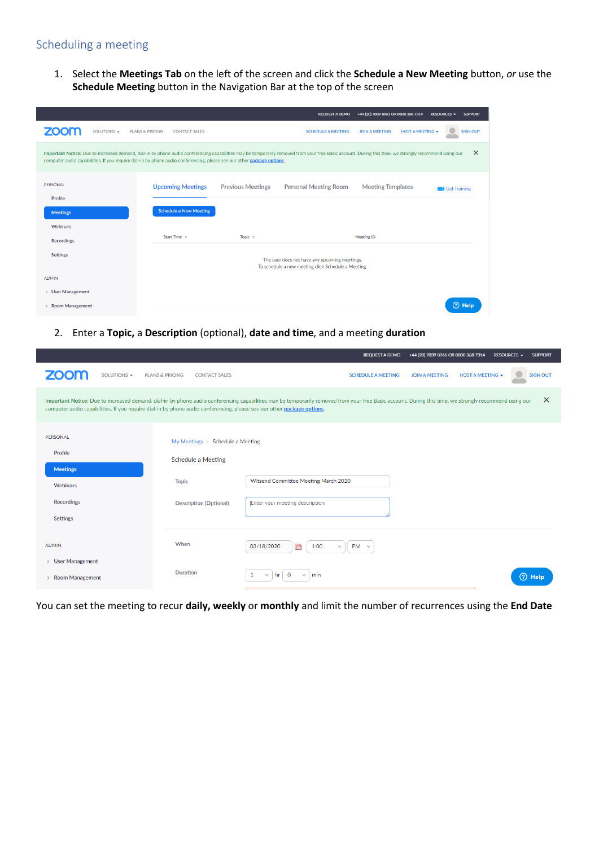# Scheduling a meeting

1. Select the **Meetings Tab** on the left of the screen and click the **Schedule a New Meeting** button, *or* use the **Schedule Meeting** button in the Navigation Bar at the top of the screen

|                            |                                                                                                                                                                                                                                                                                                                                  |                          | <b>REQUEST A DEMO</b>                                                                                | +44 (20) 7039 8961 OR 0800 368 7314              | <b>RESOURCES +</b><br><b>SUPPORT</b> |
|----------------------------|----------------------------------------------------------------------------------------------------------------------------------------------------------------------------------------------------------------------------------------------------------------------------------------------------------------------------------|--------------------------|------------------------------------------------------------------------------------------------------|--------------------------------------------------|--------------------------------------|
| <b>ZOOM</b><br>SOLUTIONS - | PLANS & PRICING<br><b>CONTACT SALES</b>                                                                                                                                                                                                                                                                                          |                          | <b>SCHEDULE A MEETING</b>                                                                            | <b>JOIN A MEETING</b><br><b>HOST A MEETING +</b> | <b>SIGN OUT</b>                      |
|                            | Important Notice: Due to increased demand, dial-in by phone audio conferencing capabilities may be temporarily removed from your free Basic account. During this time, we strongly recommend using our<br>computer audio capabilities. If you require dial-in by phone audio conferencing, please see our other package options. |                          |                                                                                                      |                                                  | $\times$                             |
| PERSONAL<br>Profile        | <b>Upcoming Meetings</b>                                                                                                                                                                                                                                                                                                         | <b>Previous Meetings</b> | <b>Personal Meeting Room</b>                                                                         | <b>Meeting Templates</b>                         | <b>Cet Training</b>                  |
| <b>Meetings</b>            | <b>Schedule a New Meeting</b>                                                                                                                                                                                                                                                                                                    |                          |                                                                                                      |                                                  |                                      |
| Webinars                   |                                                                                                                                                                                                                                                                                                                                  |                          |                                                                                                      |                                                  |                                      |
| <b>Recordings</b>          | Start Time ÷                                                                                                                                                                                                                                                                                                                     | Topic $\div$             |                                                                                                      | <b>Meeting ID</b>                                |                                      |
| <b>Settings</b>            |                                                                                                                                                                                                                                                                                                                                  |                          | The user does not have any upcoming meetings.<br>To schedule a new meeting click Schedule a Meeting. |                                                  |                                      |
| <b>ADMIN</b>               |                                                                                                                                                                                                                                                                                                                                  |                          |                                                                                                      |                                                  |                                      |
| > User Management          |                                                                                                                                                                                                                                                                                                                                  |                          |                                                                                                      |                                                  |                                      |
| <b>Room Management</b>     |                                                                                                                                                                                                                                                                                                                                  |                          |                                                                                                      |                                                  | 7 Help                               |

2. Enter a **Topic,** a **Description** (optional), **date and time**, and a meeting **duration**

|                                                                                                                        |                                                    | <b>REQUEST A DEMO</b>                                                                                                                                                                                  | +44 (20) 7039 8961 OR 0800 368 7314<br><b>SUPPORT</b><br><b>RESOURCES -</b> |  |
|------------------------------------------------------------------------------------------------------------------------|----------------------------------------------------|--------------------------------------------------------------------------------------------------------------------------------------------------------------------------------------------------------|-----------------------------------------------------------------------------|--|
| <b>ZOOM</b><br>SOLUTIONS -                                                                                             | <b>PLANS &amp; PRICING</b><br><b>CONTACT SALES</b> | <b>SCHEDULE A MEETING</b>                                                                                                                                                                              | <b>HOST A MEETING +</b><br><b>SIGN OUT</b><br><b>JOIN A MEETING</b>         |  |
| computer audio capabilities. If you require dial-in by phone audio conferencing, please see our other package options. |                                                    | Important Notice: Due to increased demand, dial-in by phone audio conferencing capabilities may be temporarily removed from your free Basic account. During this time, we strongly recommend using our | $\times$                                                                    |  |
| PERSONAL                                                                                                               | My Meetings > Schedule a Meeting                   |                                                                                                                                                                                                        |                                                                             |  |
| Profile                                                                                                                | <b>Schedule a Meeting</b>                          |                                                                                                                                                                                                        |                                                                             |  |
| <b>Meetings</b>                                                                                                        | <b>Topic</b>                                       | Witsend Committee Meeting March 2020                                                                                                                                                                   |                                                                             |  |
| Webinars                                                                                                               |                                                    |                                                                                                                                                                                                        |                                                                             |  |
| <b>Recordings</b>                                                                                                      | <b>Description (Optional)</b>                      | Enter your meeting description                                                                                                                                                                         |                                                                             |  |
| <b>Settings</b>                                                                                                        |                                                    |                                                                                                                                                                                                        |                                                                             |  |
| <b>ADMIN</b>                                                                                                           | When                                               | 03/18/2020<br>前<br>1:00<br>$PM \sim$<br>$\checkmark$                                                                                                                                                   |                                                                             |  |
| > User Management<br><b>Room Management</b><br>$\rightarrow$                                                           | <b>Duration</b>                                    | $\mathbf 0$<br>1<br>min<br>$\checkmark$<br>$\checkmark$<br>hr                                                                                                                                          | (?) Help                                                                    |  |

You can set the meeting to recur **daily, weekly** or **monthly** and limit the number of recurrences using the **End Date**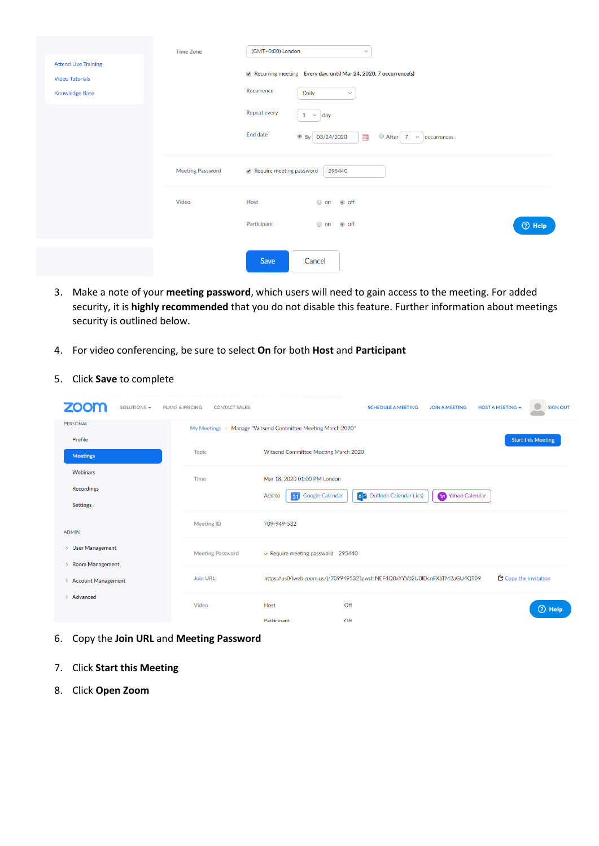|                                                                                | <b>Time Zone</b>        | (GMT+0:00) London<br>$\checkmark$                                                                                                                                                                                         |          |
|--------------------------------------------------------------------------------|-------------------------|---------------------------------------------------------------------------------------------------------------------------------------------------------------------------------------------------------------------------|----------|
| <b>Attend Live Training</b><br><b>Video Tutorials</b><br><b>Knowledge Base</b> |                         | Recurring meeting Every day, until Mar 24, 2020, 7 occurrence(s)<br>Recurrence<br>Daily<br>$\checkmark$<br>Repeat every<br>$1 \times day$<br>End date<br><sup>◎</sup> By 03/24/2020<br>After 7<br>▦<br>$\vee$ occurrences |          |
|                                                                                | <b>Meeting Password</b> | Require meeting password<br>295440                                                                                                                                                                                        |          |
|                                                                                | Video                   | Host<br>on off<br>Participant<br>◉ off<br>$\bigcirc$ on                                                                                                                                                                   | $①$ Help |
|                                                                                |                         | Save<br>Cancel                                                                                                                                                                                                            |          |

- 3. Make a note of your **meeting password**, which users will need to gain access to the meeting. For added security, it is **highly recommended** that you do not disable this feature. Further information about meetings security is outlined below.
- 4. For video conferencing, be sure to select **On** for both **Host** and **Participant**
- 5. Click **Save** to complete

| SOLUTIONS -                                                  | <b>PLANS &amp; PRICING</b><br><b>CONTACT SALES</b> | <b>HOST A MEETING +</b><br><b>SIGN OUT</b><br><b>SCHEDULE A MEETING</b><br><b>JOIN A MEETING</b>  |
|--------------------------------------------------------------|----------------------------------------------------|---------------------------------------------------------------------------------------------------|
| <b>PERSONAL</b>                                              |                                                    | My Meetings > Manage "Witsend Committee Meeting March 2020"                                       |
| Profile<br><b>Meetings</b>                                   | <b>Topic</b>                                       | <b>Start this Meeting</b><br>Witsend Committee Meeting March 2020                                 |
| Webinars                                                     | <b>Time</b>                                        | Mar 18, 2020 01:00 PM London                                                                      |
| <b>Recordings</b>                                            |                                                    | <b>o</b> Outlook Calendar (.ics)<br>Vahoo Calendar<br><b>Google Calendar</b><br>Add to<br>31      |
| <b>Settings</b>                                              |                                                    |                                                                                                   |
| <b>ADMIN</b>                                                 | <b>Meeting ID</b>                                  | 709-949-532                                                                                       |
| > User Management<br><b>Room Management</b><br>$\mathcal{P}$ | <b>Meeting Password</b>                            | $\vee$ Require meeting password 295440                                                            |
| > Account Management                                         | Join URL:                                          | C Copy the invitation<br>https://us04web.zoom.us/j/709949532?pwd=NEF4Q0xYYVd2U0IDcnFXbTM2aGU4QT09 |
| > Advanced                                                   | Video                                              | Host<br>Off<br>$\circledcirc$ Help<br>Participant<br>Off                                          |

- 6. Copy the **Join URL** and **Meeting Password**
- 7. Click **Start this Meeting**
- 8. Click **Open Zoom**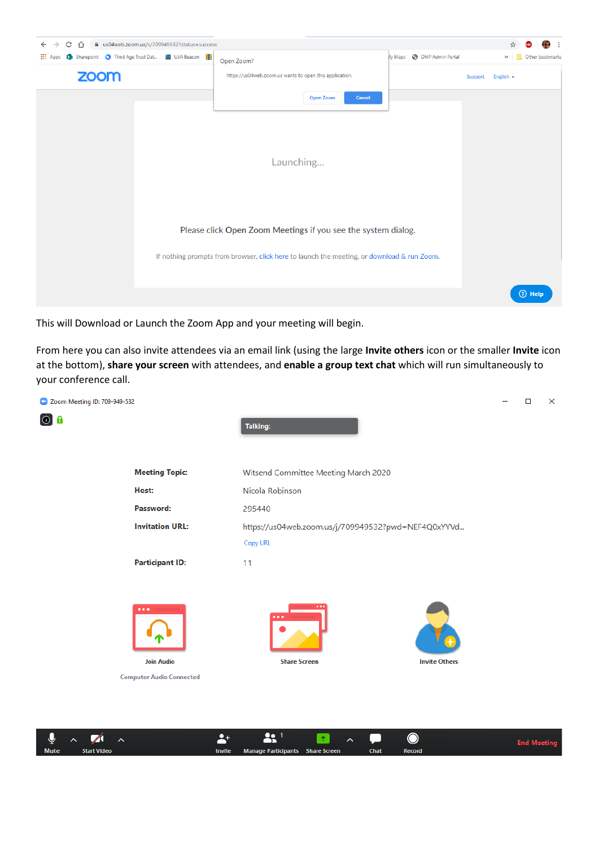

This will Download or Launch the Zoom App and your meeting will begin.

From here you can also invite attendees via an email link (using the large **Invite others** icon or the smaller **Invite** icon at the bottom), **share your screen** with attendees, and **enable a group text chat** which will run simultaneously to your conference call.



|             | $\frac{1}{2}$ $\sim$ 7 |               |                                  |             |               |  |
|-------------|------------------------|---------------|----------------------------------|-------------|---------------|--|
| <b>Mute</b> | Start Video            | <b>Invite</b> | Manage Participants Share Screen | <b>Chat</b> | <b>Record</b> |  |